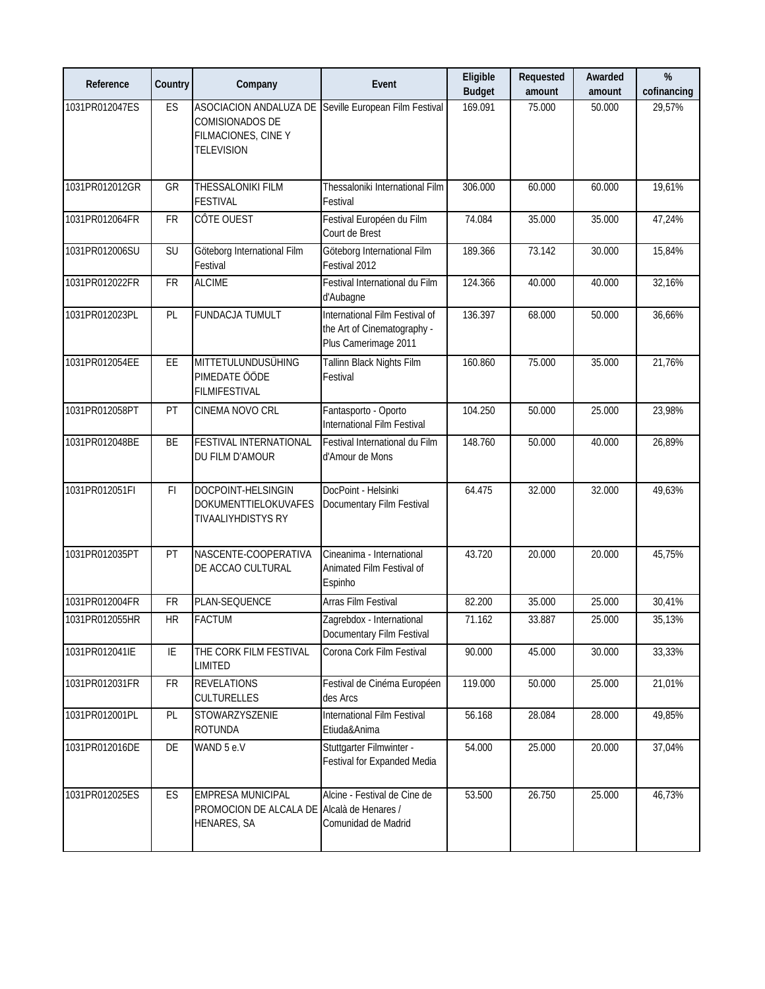| Reference      | Country    | Company                                                                                                              | Event                                                                                 | Eligible<br><b>Budget</b> | Requested<br>amount | Awarded<br>amount | %<br>cofinancing |
|----------------|------------|----------------------------------------------------------------------------------------------------------------------|---------------------------------------------------------------------------------------|---------------------------|---------------------|-------------------|------------------|
| 1031PR012047ES | ES         | ASOCIACION ANDALUZA DE Seville European Film Festival<br>COMISIONADOS DE<br>FILMACIONES, CINE Y<br><b>TELEVISION</b> |                                                                                       | 169.091                   | 75.000              | 50.000            | 29,57%           |
| 1031PR012012GR | GR         | THESSALONIKI FILM<br><b>FESTIVAL</b>                                                                                 | Thessaloniki International Film<br>Festival                                           | 306.000                   | 60.000              | 60.000            | 19,61%           |
| 1031PR012064FR | <b>FR</b>  | CÔTE OUEST                                                                                                           | Festival Européen du Film<br>Court de Brest                                           | 74.084                    | 35.000              | 35.000            | 47,24%           |
| 1031PR012006SU | SU         | Göteborg International Film<br>Festival                                                                              | Göteborg International Film<br>Festival 2012                                          | 189.366                   | 73.142              | 30.000            | 15,84%           |
| 1031PR012022FR | <b>FR</b>  | <b>ALCIME</b>                                                                                                        | Festival International du Film<br>d'Aubagne                                           | 124.366                   | 40.000              | 40.000            | 32,16%           |
| 1031PR012023PL | PL         | FUNDACJA TUMULT                                                                                                      | International Film Festival of<br>the Art of Cinematography -<br>Plus Camerimage 2011 | 136.397                   | 68.000              | 50.000            | 36,66%           |
| 1031PR012054EE | EE         | MITTETULUNDUSÜHING<br>PIMEDATE ÖÖDE<br><b>FILMIFESTIVAL</b>                                                          | Tallinn Black Nights Film<br>Festival                                                 | 160.860                   | 75.000              | 35.000            | 21,76%           |
| 1031PR012058PT | PT         | CINEMA NOVO CRL                                                                                                      | Fantasporto - Oporto<br><b>International Film Festival</b>                            | 104.250                   | 50.000              | 25.000            | 23,98%           |
| 1031PR012048BE | BE         | <b>FESTIVAL INTERNATIONAL</b><br>DU FILM D'AMOUR                                                                     | Festival International du Film<br>d'Amour de Mons                                     | 148.760                   | 50.000              | 40.000            | 26,89%           |
| 1031PR012051FI | F1         | DOCPOINT-HELSINGIN<br>DOKUMENTTIELOKUVAFES<br>TIVAALIYHDISTYS RY                                                     | DocPoint - Helsinki<br>Documentary Film Festival                                      | 64.475                    | 32.000              | 32.000            | 49,63%           |
| 1031PR012035PT | PT         | NASCENTE-COOPERATIVA<br>DE ACCAO CULTURAL                                                                            | Cineanima - International<br>Animated Film Festival of<br>Espinho                     | 43.720                    | 20.000              | 20.000            | 45,75%           |
| 1031PR012004FR | <b>FR</b>  | PLAN-SEQUENCE                                                                                                        | <b>Arras Film Festival</b>                                                            | 82.200                    | 35.000              | 25.000            | 30,41%           |
| 1031PR012055HR | <b>HR</b>  | <b>FACTUM</b>                                                                                                        | Zagrebdox - International<br>Documentary Film Festival                                | 71.162                    | 33.887              | 25.000            | 35,13%           |
| 1031PR012041IE | IE         | THE CORK FILM FESTIVAL<br><b>LIMITED</b>                                                                             | Corona Cork Film Festival                                                             | 90.000                    | 45.000              | 30.000            | 33,33%           |
| 1031PR012031FR | ${\sf FR}$ | <b>REVELATIONS</b><br><b>CULTURELLES</b>                                                                             | Festival de Cinéma Européen<br>des Arcs                                               | 119.000                   | 50.000              | 25.000            | 21,01%           |
| 1031PR012001PL | PL         | STOWARZYSZENIE<br><b>ROTUNDA</b>                                                                                     | International Film Festival<br>Etiuda&Anima                                           | 56.168                    | 28.084              | 28.000            | 49,85%           |
| 1031PR012016DE | DE         | WAND 5 e.V                                                                                                           | Stuttgarter Filmwinter -<br>Festival for Expanded Media                               | 54.000                    | 25.000              | 20.000            | 37,04%           |
| 1031PR012025ES | ES         | <b>EMPRESA MUNICIPAL</b><br>PROMOCION DE ALCALA DE Alcalà de Henares /<br>HENARES, SA                                | Alcine - Festival de Cine de<br>Comunidad de Madrid                                   | 53.500                    | 26.750              | 25.000            | 46,73%           |